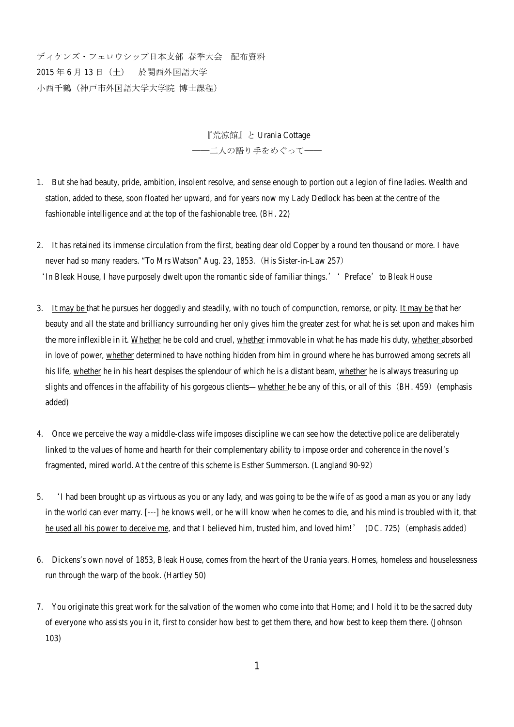ディケンズ・フェロウシップ日本支部 春季大会 配布資料 2015 年 6 月 13 日(土) 於関西外国語大学 小西千鶴(神戸市外国語大学大学院 博士課程)

> 『荒涼館』と Urania Cottage ――二人の語り手をめぐって――

- 1. But she had beauty, pride, ambition, insolent resolve, and sense enough to portion out a legion of fine ladies. Wealth and station, added to these, soon floated her upward, and for years now my Lady Dedlock has been at the centre of the fashionable intelligence and at the top of the fashionable tree. (*BH*. 22)
- 2. It has retained its immense circulation from the first, beating dear old Copper by a round ten thousand or more. I have never had so many readers. "To Mrs Watson" Aug. 23, 1853.(His Sister-in-Law 257) 'In Bleak House, I have purposely dwelt upon the romantic side of familiar things.'' Preface'to *Bleak House*
- 3. It may be that he pursues her doggedly and steadily, with no touch of compunction, remorse, or pity. It may be that her beauty and all the state and brilliancy surrounding her only gives him the greater zest for what he is set upon and makes him the more inflexible in it. Whether he be cold and cruel, whether immovable in what he has made his duty, whether absorbed in love of power, whether determined to have nothing hidden from him in ground where he has burrowed among secrets all his life, whether he in his heart despises the splendour of which he is a distant beam, whether he is always treasuring up slights and offences in the affability of his gorgeous clients—whether he be any of this, or all of this (*BH*. 459) (emphasis added)
- 4. Once we perceive the way a middle-class wife imposes discipline we can see how the detective police are deliberately linked to the values of home and hearth for their complementary ability to impose order and coherence in the novel's fragmented, mired world. At the centre of this scheme is Esther Summerson. (Langland 90-92)
- 5. 'I had been brought up as virtuous as you or any lady, and was going to be the wife of as good a man as you or any lady in the world can ever marry. [---] he knows well, or he will know when he comes to die, and his mind is troubled with it, that he used all his power to deceive me, and that I believed him, trusted him, and loved him!' (*DC*. 725) (emphasis added)
- 6. Dickens's own novel of 1853, Bleak House, comes from the heart of the Urania years. Homes, homeless and houselessness run through the warp of the book. (Hartley 50)
- 7. You originate this great work for the salvation of the women who come into that Home; and I hold it to be the sacred duty of everyone who assists you in it, first to consider how best to get them there, and how best to keep them there. (Johnson 103)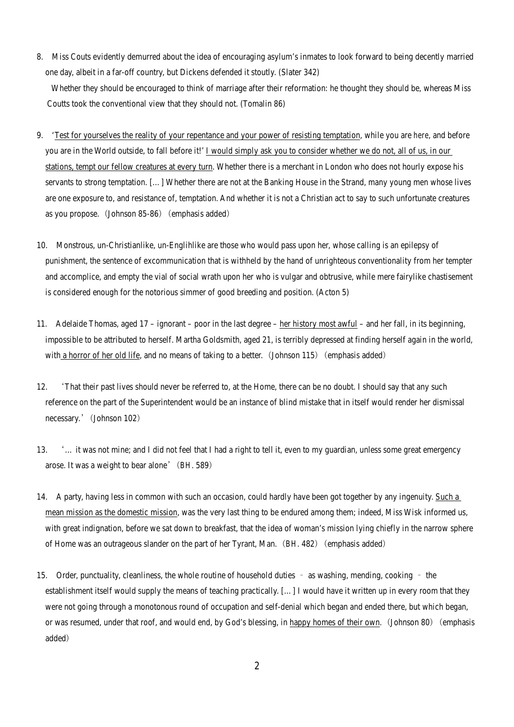8. Miss Couts evidently demurred about the idea of encouraging asylum's inmates to look forward to being decently married one day, albeit in a far-off country, but Dickens defended it stoutly. (Slater 342)

Whether they should be encouraged to think of marriage after their reformation: he thought they should be, whereas Miss Coutts took the conventional view that they should not. (Tomalin 86)

- 9. 'Test for yourselves the reality of your repentance and your power of resisting temptation, while you are *here*, and before you are in the World outside, to fall before it!' I would simply ask you to consider whether we do not, all of us, in our stations, tempt our fellow creatures at every turn. Whether there is a merchant in London who does not hourly expose his servants to strong temptation. […] Whether there are not at the Banking House in the Strand, many young men whose lives are one exposure to, and resistance of, temptation. And whether it is not a Christian act to say to such unfortunate creatures as you propose. (Johnson 85-86) (emphasis added)
- 10. Monstrous, un-Christianlike, un-Englihlike are those who would pass upon her, whose calling is an epilepsy of punishment, the sentence of excommunication that is withheld by the hand of unrighteous conventionality from her tempter and accomplice, and empty the vial of social wrath upon her who is vulgar and obtrusive, while mere fairylike chastisement is considered enough for the notorious simmer of good breeding and position. (Acton 5)
- 11. Adelaide Thomas, aged 17 ignorant poor in the last degree her history most awful and her fall, in its beginning, impossible to be attributed to herself. Martha Goldsmith, aged 21, is terribly depressed at finding herself again in the world, with a horror of her old life, and no means of taking to a better. (Johnson 115) (emphasis added)
- 12. 'That their past lives should never be referred to, at the Home, there can be no doubt. I should say that any such reference on the part of the Superintendent would be an instance of blind mistake that in itself would render her dismissal necessary.' (Johnson 102)
- 13. '… it was not mine; and I did not feel that I had a right to tell it, even to my guardian, unless some great emergency arose. It was a weight to bear alone'(*BH*. 589)
- 14. A party, having less in common with such an occasion, could hardly have been got together by any ingenuity. Such a mean mission as the domestic mission, was the very last thing to be endured among them; indeed, Miss Wisk informed us, with great indignation, before we sat down to breakfast, that the idea of woman's mission lying chiefly in the narrow sphere of Home was an outrageous slander on the part of her Tyrant, Man.(*BH*. 482)(emphasis added)
- 15. Order, punctuality, cleanliness, the whole routine of household duties as washing, mending, cooking the establishment itself would supply the means of teaching practically. […] I would have it written up in every room that they were not going through a monotonous round of occupation and self-denial which began and ended there, but which began, or was resumed, under that roof, and would end, by God's blessing, in happy homes of their own. (Johnson 80) (emphasis added)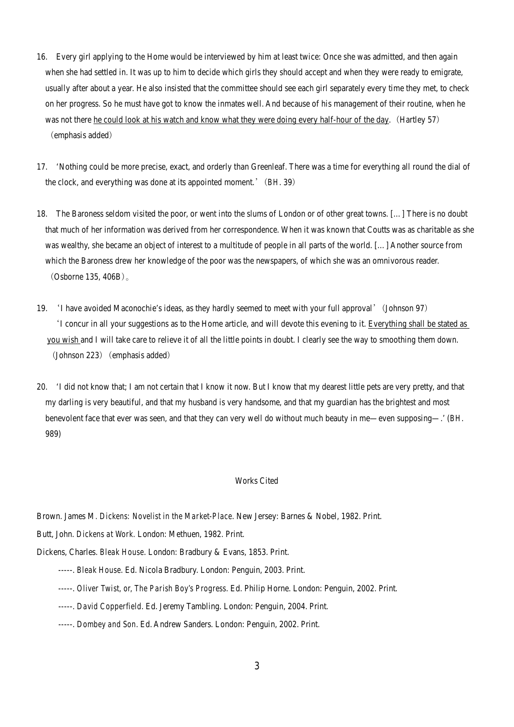- 16. Every girl applying to the Home would be interviewed by him at least twice: Once she was admitted, and then again when she had settled in. It was up to him to decide which girls they should accept and when they were ready to emigrate, usually after about a year. He also insisted that the committee should see each girl separately every time they met, to check on her progress. So he must have got to know the inmates well. And because of his management of their routine, when he was not there he could look at his watch and know what they were doing every half-hour of the day. (Hartley 57) (emphasis added)
- 17. 'Nothing could be more precise, exact, and orderly than Greenleaf. There was a time for everything all round the dial of the clock, and everything was done at its appointed moment.'(*BH*. 39)
- 18. The Baroness seldom visited the poor, or went into the slums of London or of other great towns. […] There is no doubt that much of her information was derived from her correspondence. When it was known that Coutts was as charitable as she was wealthy, she became an object of interest to a multitude of people in all parts of the world. […] Another source from which the Baroness drew her knowledge of the poor was the newspapers, of which she was an omnivorous reader. (Osborne 135, 406B)。
- 19. 'I have avoided Maconochie's ideas, as they hardly seemed to meet with your full approval'(Johnson 97) 'I concur in all your suggestions as to the Home article, and will devote this evening to it. Everything shall be stated as you wish and I will take care to relieve it of all the little points in doubt. I clearly see the way to smoothing them down.  $(Johnson 223)$  (emphasis added)
- 20. 'I did not know that; I am not certain that I know it now. But I know that my dearest little pets are very pretty, and that my darling is very beautiful, and that my husband is very handsome, and that my guardian has the brightest and most benevolent face that ever was seen, and that they can very well do without much beauty in me—even supposing—.' (*BH*. 989)

## Works Cited

## Brown. James M*. Dickens: Novelist in the Market-Place*. New Jersey: Barnes & Nobel, 1982. Print.

Butt, John. *Dickens at Work.* London: Methuen, 1982. Print.

- Dickens, Charles. *Bleak House*. London: Bradbury & Evans, 1853. Print.
	- -----. *Bleak House*. Ed. Nicola Bradbury. London: Penguin, 2003. Print.
	- -----. *Oliver Twist, or, The Parish Boy's Progress*. Ed. Philip Horne. London: Penguin, 2002. Print.
	- -----. *David Copperfield*. Ed. Jeremy Tambling. London: Penguin, 2004. Print.
	- -----. *Dombey and Son*. Ed. Andrew Sanders. London: Penguin, 2002. Print.